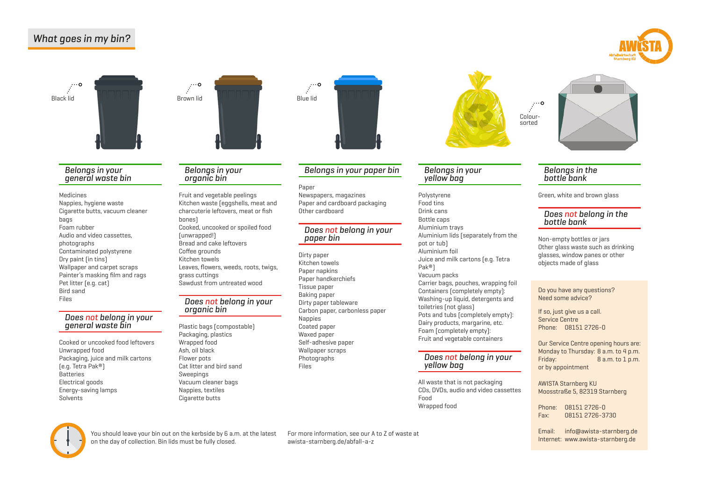## What goes in my bin?







#### Belongs in your general waste bin

Medicines Nappies, hygiene waste Cigarette butts, vacuum cleaner bags Foam rubber Audio and video cassettes, photographs Contaminated polystyrene Dry paint (in tins) Wallpaper and carpet scraps Painter's masking film and rags Pet litter (e.g. cat) Bird sand Files

# Does not belong in your<br>general waste bin

Cooked or uncooked food leftovers Unwrapped food Packaging, juice and milk cartons (e.g. Tetra Pak®) Batteries Electrical goods Energy-saving lamps Solvents

#### Belongs in your organic bin

Fruit and vegetable peelings Kitchen waste (eggshells, meat and charcuterie leftovers, meat or fish bones) Cooked, uncooked or spoiled food (unwrapped!) Bread and cake leftovers Coffee grounds Kitchen towels Leaves, flowers, weeds, roots, twigs, grass cuttings Sawdust from untreated wood

# Does not belong in your<br>organic bin

Plastic bags (compostable) Packaging, plastics Wrapped food Ash, oil black Flower pots Cat litter and bird sand Sweepings Vacuum cleaner bags Nappies, textiles Cigarette butts

# $\mathbb{R}^{\cdots o}$

### Belongs in your paper bin

#### Paper

Newspapers, magazines Paper and cardboard packaging Other cardboard

# Does <mark>not</mark> belong in your<br>paper bin

Dirty paper Kitchen towels Paper napkins Paper handkerchiefs Tissue paper Baking paper Dirty paper tableware Carbon paper, carbonless paper **Nappies** Coated paper Waxed paper Self-adhesive paper Wallpaper scraps **Photographs** Files

# $\ddot{\cdot}$ Coloursorted

#### Belongs in your yellow bag

Polystyrene Food tins Drink cans Bottle caps Aluminium trays Aluminium lids (separately from the pot or tub) Aluminium foil Juice and milk cartons (e.g. Tetra Pak®) Vacuum packs Carrier bags, pouches, wrapping foil Containers (completely empty): Washing-up liquid, detergents and toiletries (not glass) Pots and tubs (completely empty): Dairy products, margarine, etc. Foam (completely empty): Fruit and vegetable containers

# Does not belong in your<br>yellow bag

All waste that is not packaging CDs, DVDs, audio and video cassettes Food Wrapped food

# Belongs in the bottle bank

Green, white and brown glass

# Does not belong in the<br>bottle bank

Non-empty bottles or jars Other glass waste such as drinking glasses, window panes or other objects made of glass

#### Do you have any questions? Need some advice?

If so, just give us a call. Service Centre Phone: 08151 2726-0

Our Service Centre opening hours are: Monday to Thursday: 8 a.m. to 4 p.m. Friday: 8 a.m. to 1 p.m. or by appointment

AWISTA Starnberg KU Moosstraße 5, 82319 Starnberg

Phone: 08151 2726-0 Fax: 08151 2726-3730

Email: [info@awista-starnberg.de](mailto:info%40awista-starnberg.de?subject=)



You should leave your bin out on the kerbside by 6 a.m. at the latest For more information, see our A to Z of waste at and the Manusculp of the Manusculp of the Manusculp of the Manusculp of the Manusculp of the Manusculp on the day of collection. Bin lids must be fully closed.

For more information, see our A to Z of waste at [awista-starnberg.de/abfall-a-z](https://awista-starnberg.de/abfall-a-z)